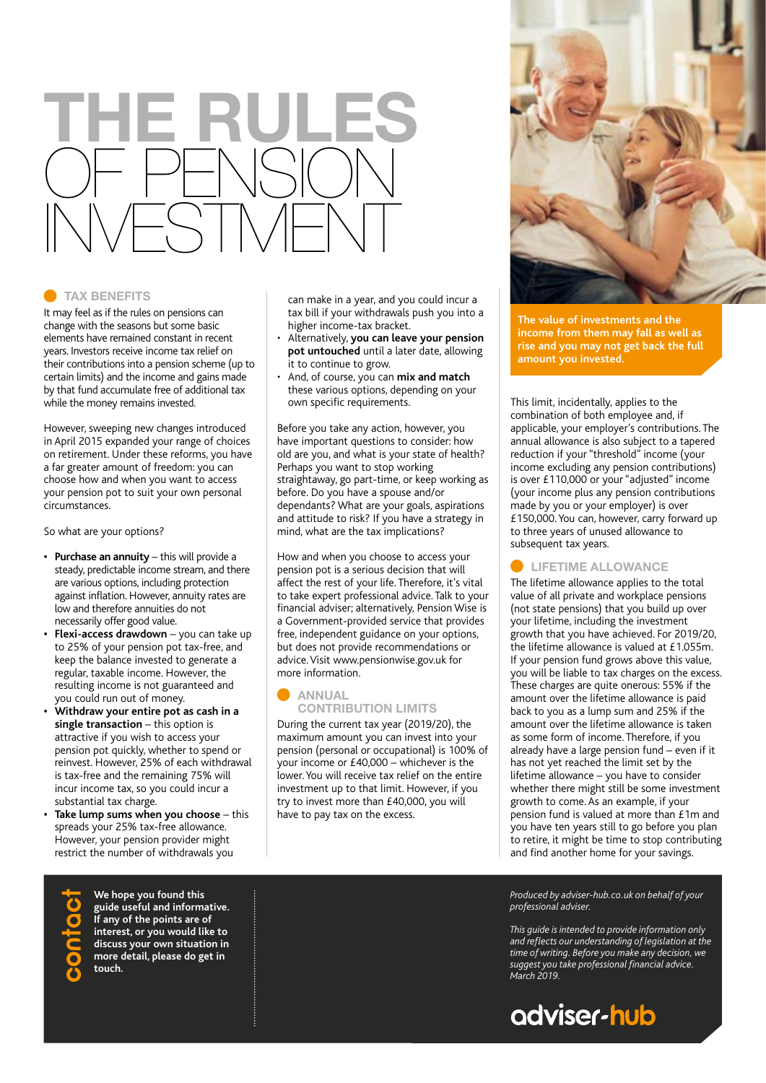# **THE RULES**  OF PENSION INVESTMENT

### **TAX BENEFITS**

It may feel as if the rules on pensions can change with the seasons but some basic elements have remained constant in recent years. Investors receive income tax relief on their contributions into a pension scheme (up to certain limits) and the income and gains made by that fund accumulate free of additional tax while the money remains invested.

However, sweeping new changes introduced in April 2015 expanded your range of choices on retirement. Under these reforms, you have a far greater amount of freedom: you can choose how and when you want to access your pension pot to suit your own personal circumstances.

So what are your options?

- **• Purchase an annuity**  this will provide a steady, predictable income stream, and there are various options, including protection against inflation. However, annuity rates are low and therefore annuities do not necessarily offer good value.
- **• Flexi-access drawdown** you can take up to 25% of your pension pot tax-free, and keep the balance invested to generate a regular, taxable income. However, the resulting income is not guaranteed and you could run out of money.
- **• Withdraw your entire pot as cash in a single transaction** – this option is attractive if you wish to access your pension pot quickly, whether to spend or reinvest. However, 25% of each withdrawal is tax-free and the remaining 75% will incur income tax, so you could incur a substantial tax charge.
- **• Take lump sums when you choose** this spreads your 25% tax-free allowance. However, your pension provider might restrict the number of withdrawals you

can make in a year, and you could incur a tax bill if your withdrawals push you into a higher income-tax bracket.

- Alternatively, **you can leave your pension pot untouched** until a later date, allowing it to continue to grow.
- And, of course, you can **mix and match** these various options, depending on your own specific requirements.

Before you take any action, however, you have important questions to consider: how old are you, and what is your state of health? Perhaps you want to stop working straightaway, go part-time, or keep working as before. Do you have a spouse and/or dependants? What are your goals, aspirations and attitude to risk? If you have a strategy in mind, what are the tax implications?

How and when you choose to access your pension pot is a serious decision that will affect the rest of your life. Therefore, it's vital to take expert professional advice. Talk to your financial adviser; alternatively, Pension Wise is a Government-provided service that provides free, independent guidance on your options, but does not provide recommendations or advice. Visit www.pensionwise.gov.uk for more information.

### **ANNUAL CONTRIBUTION LIMITS**

During the current tax year (2019/20), the maximum amount you can invest into your pension (personal or occupational) is 100% of your income or £40,000 – whichever is the lower. You will receive tax relief on the entire investment up to that limit. However, if you try to invest more than £40,000, you will have to pay tax on the excess.



**The value of investments and the income from them may fall as well as rise and you may not get back the full amount you invested.**

This limit, incidentally, applies to the combination of both employee and, if applicable, your employer's contributions. The annual allowance is also subject to a tapered reduction if your "threshold" income (your income excluding any pension contributions) is over £110,000 or your "adjusted" income (your income plus any pension contributions made by you or your employer) is over £150,000. You can, however, carry forward up to three years of unused allowance to subsequent tax years.

**LIFETIME ALLOWANCE**

The lifetime allowance applies to the total value of all private and workplace pensions (not state pensions) that you build up over your lifetime, including the investment growth that you have achieved. For 2019/20, the lifetime allowance is valued at £1.055m. If your pension fund grows above this value, you will be liable to tax charges on the excess. These charges are quite onerous: 55% if the amount over the lifetime allowance is paid back to you as a lump sum and 25% if the amount over the lifetime allowance is taken as some form of income. Therefore, if you already have a large pension fund – even if it has not yet reached the limit set by the lifetime allowance – you have to consider whether there might still be some investment growth to come. As an example, if your pension fund is valued at more than £1m and you have ten years still to go before you plan to retire, it might be time to stop contributing and find another home for your savings.

**We hope you found this guide useful and informative. If any of the points are of interest, or you would like to discuss your own situation in more detail, please do get in touch.**

### *Produced by adviser-hub.co.uk on behalf of your professional adviser.*

*This guide is intended to provide information only and reflects our understanding of legislation at the time of writing. Before you make any decision, we suggest you take professional financial advice. March 2019.*

## adviser-hub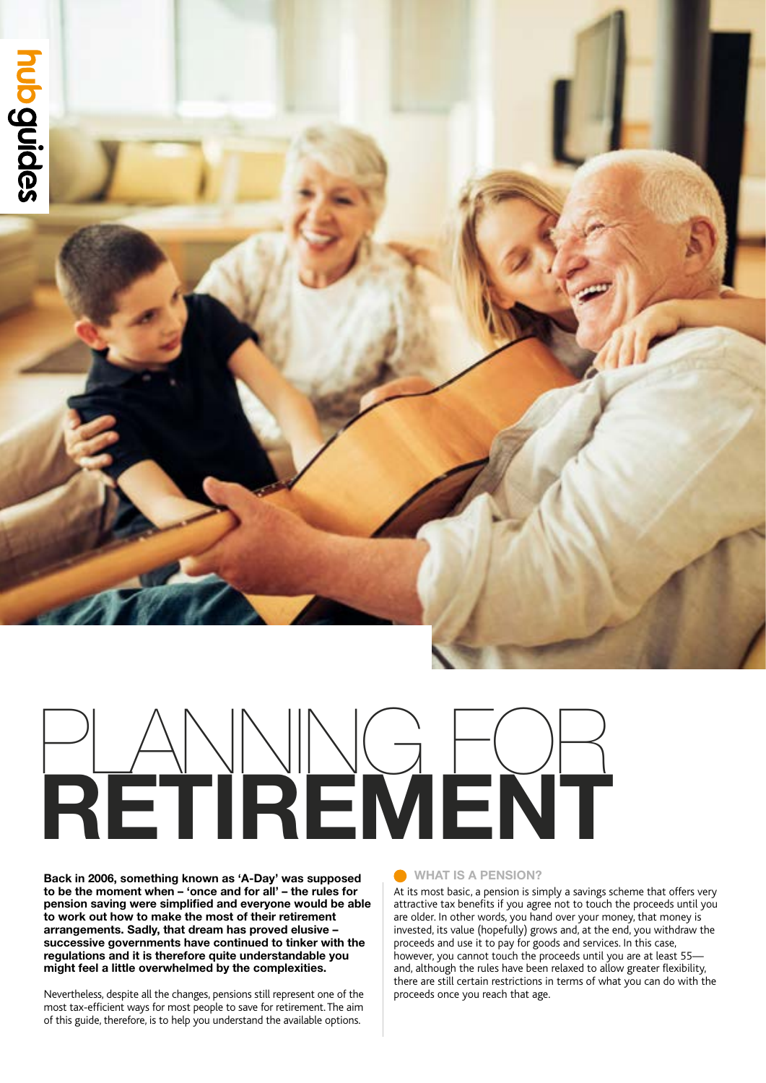# hub guides

# **RETIREMENT** PLANNING FOR

**Back in 2006, something known as 'A-Day' was supposed to be the moment when – 'once and for all' – the rules for pension saving were simplified and everyone would be able to work out how to make the most of their retirement arrangements. Sadly, that dream has proved elusive – successive governments have continued to tinker with the regulations and it is therefore quite understandable you might feel a little overwhelmed by the complexities.**

Nevertheless, despite all the changes, pensions still represent one of the most tax-efficient ways for most people to save for retirement. The aim of this guide, therefore, is to help you understand the available options.

### **WHAT IS A PENSION?**

At its most basic, a pension is simply a savings scheme that offers very attractive tax benefits if you agree not to touch the proceeds until you are older. In other words, you hand over your money, that money is invested, its value (hopefully) grows and, at the end, you withdraw the proceeds and use it to pay for goods and services. In this case, however, you cannot touch the proceeds until you are at least 55 and, although the rules have been relaxed to allow greater flexibility, there are still certain restrictions in terms of what you can do with the proceeds once you reach that age.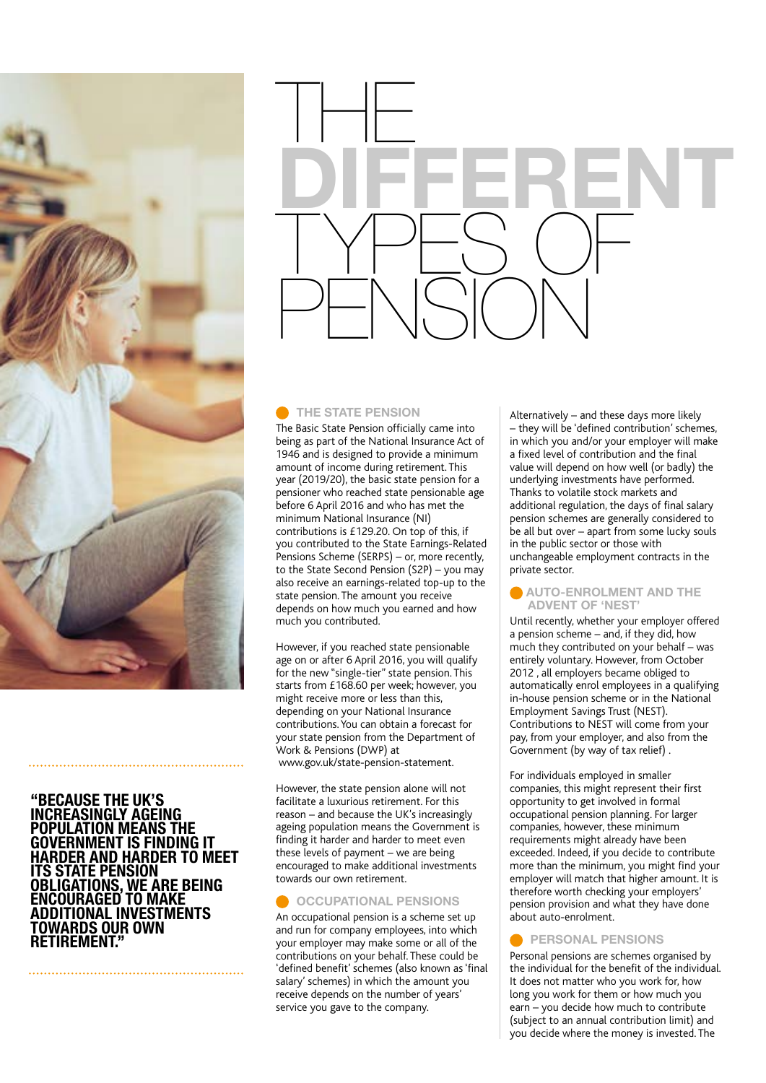

### **"BECAUSE THE UK'S INCREASINGLY AGEING POPULATION MEANS THE GOVERNMENT IS FINDING IT HARDER AND HARDER TO MEET ITS STATE PENSION OBLIGATIONS, WE ARE BEING ENCOURAGED TO MAKE ADDITIONAL INVESTMENTS TOWARDS OUR OWN RETIREMENT."**



### **C** THE STATE PENSION

The Basic State Pension officially came into being as part of the National Insurance Act of 1946 and is designed to provide a minimum amount of income during retirement. This year (2019/20), the basic state pension for a pensioner who reached state pensionable age before 6 April 2016 and who has met the minimum National Insurance (NI) contributions is £129.20. On top of this, if you contributed to the State Earnings-Related Pensions Scheme (SERPS) – or, more recently, to the State Second Pension (S2P) – you may also receive an earnings-related top-up to the state pension. The amount you receive depends on how much you earned and how much you contributed.

However, if you reached state pensionable age on or after 6 April 2016, you will qualify for the new "single-tier" state pension. This starts from £168.60 per week; however, you might receive more or less than this, depending on your National Insurance contributions. You can obtain a forecast for your state pension from the Department of Work & Pensions (DWP) at www.gov.uk/state-pension-statement.

However, the state pension alone will not facilitate a luxurious retirement. For this reason – and because the UK's increasingly ageing population means the Government is finding it harder and harder to meet even these levels of payment – we are being encouraged to make additional investments towards our own retirement.

### **OCCUPATIONAL PENSIONS**

An occupational pension is a scheme set up and run for company employees, into which your employer may make some or all of the contributions on your behalf. These could be 'defined benefit' schemes (also known as 'final salary' schemes) in which the amount you receive depends on the number of years' service you gave to the company.

Alternatively – and these days more likely – they will be 'defined contribution' schemes, in which you and/or your employer will make a fixed level of contribution and the final value will depend on how well (or badly) the underlying investments have performed. Thanks to volatile stock markets and additional regulation, the days of final salary pension schemes are generally considered to be all but over – apart from some lucky souls in the public sector or those with unchangeable employment contracts in the private sector.

### **AUTO-ENROLMENT AND THE ADVENT OF 'NEST'**

Until recently, whether your employer offered a pension scheme – and, if they did, how much they contributed on your behalf – was entirely voluntary. However, from October 2012 , all employers became obliged to automatically enrol employees in a qualifying in-house pension scheme or in the National Employment Savings Trust (NEST). Contributions to NEST will come from your pay, from your employer, and also from the Government (by way of tax relief) .

For individuals employed in smaller companies, this might represent their first opportunity to get involved in formal occupational pension planning. For larger companies, however, these minimum requirements might already have been exceeded. Indeed, if you decide to contribute more than the minimum, you might find your employer will match that higher amount. It is therefore worth checking your employers' pension provision and what they have done about auto-enrolment.

### **PERSONAL PENSIONS**

Personal pensions are schemes organised by the individual for the benefit of the individual. It does not matter who you work for, how long you work for them or how much you earn – you decide how much to contribute (subject to an annual contribution limit) and you decide where the money is invested. The